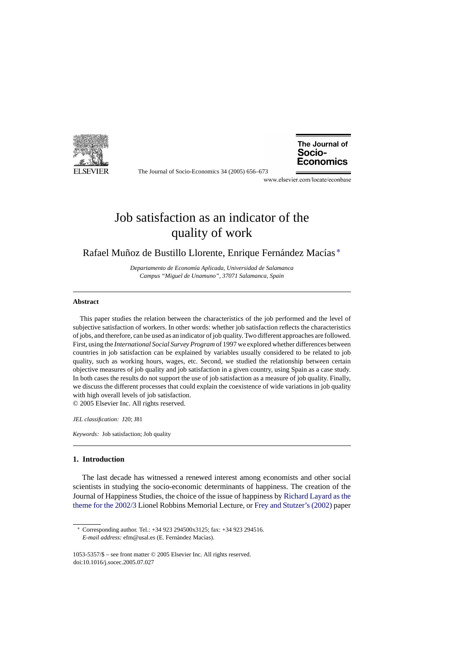<span id="page-0-0"></span>

The Journal of Socio-Economics 34 (2005) 656–673

The Journal of Socio-**Economics** 

www.elsevier.com/locate/econbase

# Job satisfaction as an indicator of the quality of work

## Rafael Muñoz de Bustillo Llorente, Enrique Fernández Macías \*

*Departamento de Econom´ıa Aplicada, Universidad de Salamanca Campus "Miguel de Unamuno", 37071Salamanca, Spain*

#### **Abstract**

This paper studies the relation between the characteristics of the job performed and the level of subjective satisfaction of workers. In other words: whether job satisfaction reflects the characteristics of jobs, and therefore, can be used as an indicator of job quality. Two different approaches are followed. First, using the *International Social Survey Program* of 1997 we explored whether differences between countries in job satisfaction can be explained by variables usually considered to be related to job quality, such as working hours, wages, etc. Second, we studied the relationship between certain objective measures of job quality and job satisfaction in a given country, using Spain as a case study. In both cases the results do not support the use of job satisfaction as a measure of job quality. Finally, we discuss the different processes that could explain the coexistence of wide variations in job quality with high overall levels of job satisfaction. © 2005 Elsevier Inc. All rights reserved.

*JEL classification:* J20; J81

*Keywords:* Job satisfaction; Job quality

## **1. Introduction**

The last decade has witnessed a renewed interest among economists and other social scientists in studying the socio-economic determinants of happiness. The creation of the Journal of Happiness Studies, the choice of the issue of happiness by [Richard Layard as the](#page-17-0) [theme for the 2002/3](#page-17-0) Lionel Robbins Memorial Lecture, or [Frey and Stutzer's \(2002\)](#page-17-0) paper

<sup>∗</sup> Corresponding author. Tel.: +34 923 294500x3125; fax: +34 923 294516. *E-mail address:* efm@usal.es (E. Fernández Macías).

<sup>1053-5357/\$ –</sup> see front matter © 2005 Elsevier Inc. All rights reserved. doi:10.1016/j.socec.2005.07.027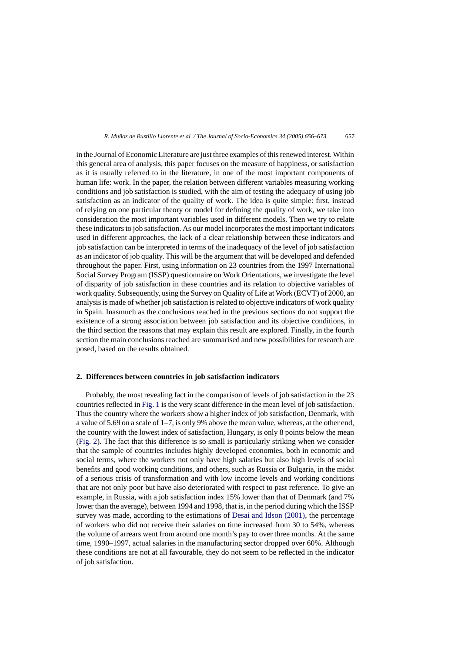in the Journal of Economic Literature are just three examples of this renewed interest. Within this general area of analysis, this paper focuses on the measure of happiness, or satisfaction as it is usually referred to in the literature, in one of the most important components of human life: work. In the paper, the relation between different variables measuring working conditions and job satisfaction is studied, with the aim of testing the adequacy of using job satisfaction as an indicator of the quality of work. The idea is quite simple: first, instead of relying on one particular theory or model for defining the quality of work, we take into consideration the most important variables used in different models. Then we try to relate these indicators to job satisfaction. As our model incorporates the most important indicators used in different approaches, the lack of a clear relationship between these indicators and job satisfaction can be interpreted in terms of the inadequacy of the level of job satisfaction as an indicator of job quality. This will be the argument that will be developed and defended throughout the paper. First, using information on 23 countries from the 1997 International Social Survey Program (ISSP) questionnaire on Work Orientations, we investigate the level of disparity of job satisfaction in these countries and its relation to objective variables of work quality. Subsequently, using the Survey on Quality of Life at Work (ECVT) of 2000, an analysis is made of whether job satisfaction is related to objective indicators of work quality in Spain. Inasmuch as the conclusions reached in the previous sections do not support the existence of a strong association between job satisfaction and its objective conditions, in the third section the reasons that may explain this result are explored. Finally, in the fourth section the main conclusions reached are summarised and new possibilities for research are posed, based on the results obtained.

#### **2. Differences between countries in job satisfaction indicators**

Probably, the most revealing fact in the comparison of levels of job satisfaction in the 23 countries reflected in [Fig. 1](#page-2-0) is the very scant difference in the mean level of job satisfaction. Thus the country where the workers show a higher index of job satisfaction, Denmark, with a value of 5.69 on a scale of 1–7, is only 9% above the mean value, whereas, at the other end, the country with the lowest index of satisfaction, Hungary, is only 8 points below the mean ([Fig. 2\).](#page-2-0) The fact that this difference is so small is particularly striking when we consider that the sample of countries includes highly developed economies, both in economic and social terms, where the workers not only have high salaries but also high levels of social benefits and good working conditions, and others, such as Russia or Bulgaria, in the midst of a serious crisis of transformation and with low income levels and working conditions that are not only poor but have also deteriorated with respect to past reference. To give an example, in Russia, with a job satisfaction index 15% lower than that of Denmark (and 7% lower than the average), between 1994 and 1998, that is, in the period during which the ISSP survey was made, according to the estimations of [Desai and Idson \(2001\),](#page-17-0) the percentage of workers who did not receive their salaries on time increased from 30 to 54%, whereas the volume of arrears went from around one month's pay to over three months. At the same time, 1990–1997, actual salaries in the manufacturing sector dropped over 60%. Although these conditions are not at all favourable, they do not seem to be reflected in the indicator of job satisfaction.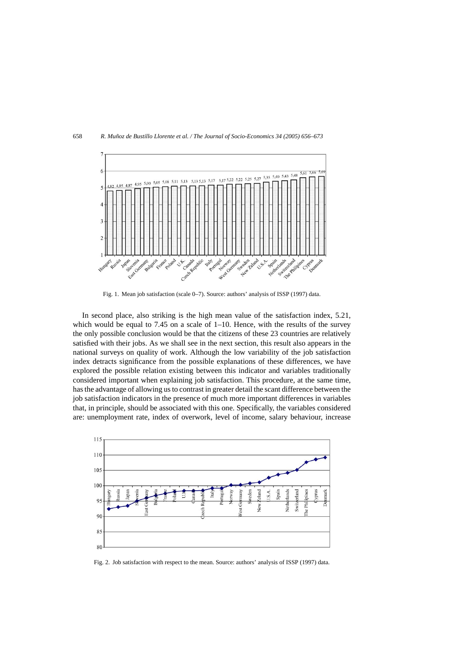<span id="page-2-0"></span>

Fig. 1. Mean job satisfaction (scale 0–7). Source: authors' analysis of ISSP (1997) data.

In second place, also striking is the high mean value of the satisfaction index, 5.21, which would be equal to 7.45 on a scale of  $1-10$ . Hence, with the results of the survey the only possible conclusion would be that the citizens of these 23 countries are relatively satisfied with their jobs. As we shall see in the next section, this result also appears in the national surveys on quality of work. Although the low variability of the job satisfaction index detracts significance from the possible explanations of these differences, we have explored the possible relation existing between this indicator and variables traditionally considered important when explaining job satisfaction. This procedure, at the same time, has the advantage of allowing us to contrast in greater detail the scant difference between the job satisfaction indicators in the presence of much more important differences in variables that, in principle, should be associated with this one. Specifically, the variables considered are: unemployment rate, index of overwork, level of income, salary behaviour, increase



Fig. 2. Job satisfaction with respect to the mean. Source: authors' analysis of ISSP (1997) data.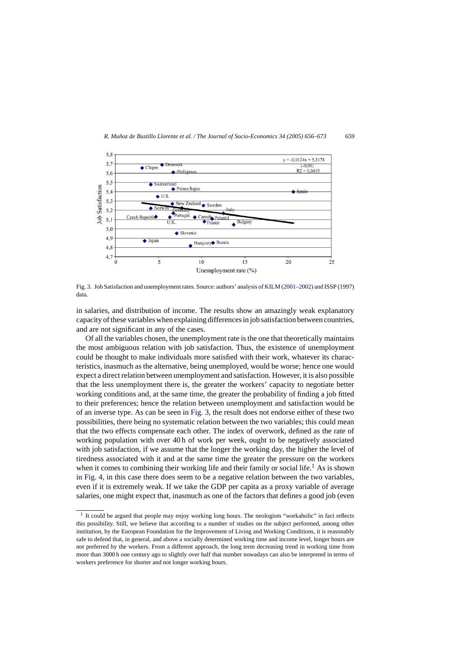

Fig. 3. Job Satisfaction and unemployment rates. Source: authors' analysis of [KILM \(2001–2002\)](#page-17-0) and ISSP (1997) data.

in salaries, and distribution of income. The results show an amazingly weak explanatory capacity of these variables when explaining differences in job satisfaction between countries, and are not significant in any of the cases.

Of all the variables chosen, the unemployment rate is the one that theoretically maintains the most ambiguous relation with job satisfaction. Thus, the existence of unemployment could be thought to make individuals more satisfied with their work, whatever its characteristics, inasmuch as the alternative, being unemployed, would be worse; hence one would expect a direct relation between unemployment and satisfaction. However, it is also possible that the less unemployment there is, the greater the workers' capacity to negotiate better working conditions and, at the same time, the greater the probability of finding a job fitted to their preferences; hence the relation between unemployment and satisfaction would be of an inverse type. As can be seen in Fig. 3, the result does not endorse either of these two possibilities, there being no systematic relation between the two variables; this could mean that the two effects compensate each other. The index of overwork, defined as the rate of working population with over 40 h of work per week, ought to be negatively associated with job satisfaction, if we assume that the longer the working day, the higher the level of tiredness associated with it and at the same time the greater the pressure on the workers when it comes to combining their working life and their family or social life.<sup>1</sup> As is shown in [Fig. 4,](#page-4-0) in this case there does seem to be a negative relation between the two variables, even if it is extremely weak. If we take the GDP per capita as a proxy variable of average salaries, one might expect that, inasmuch as one of the factors that defines a good job (even

It could be argued that people may enjoy working long hours. The neologism "workaholic" in fact reflects this possibility. Still, we believe that according to a number of studies on the subject performed, among other institution, by the European Foundation for the Improvement of Living and Working Conditions, it is reasonably safe to defend that, in general, and above a socially determined working time and income level, longer hours are not preferred by the workers. From a different approach, the long term decreasing trend in working time from more than 3000 h one century ago to slightly over half that number nowadays can also be interpreted in terms of workers preference for shorter and not longer working hours.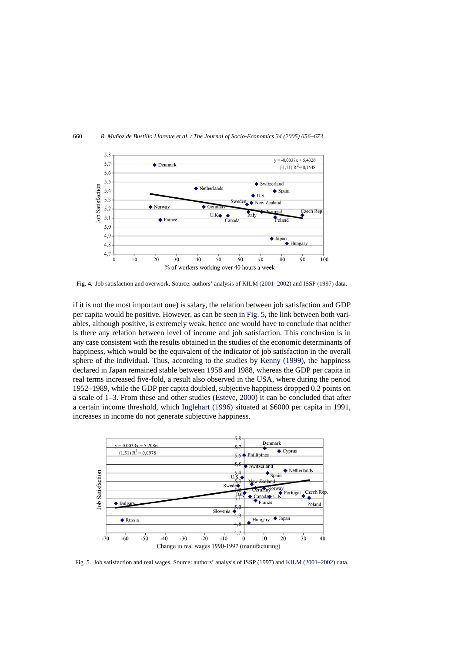<span id="page-4-0"></span>

Fig. 4. Job satisfaction and overwork. Source: authors' analysis of [KILM \(2001–2002\)](#page-17-0) and ISSP (1997) data.

if it is not the most important one) is salary, the relation between job satisfaction and GDP per capita would be positive. However, as can be seen in Fig. 5, the link between both variables, although positive, is extremely weak, hence one would have to conclude that neither is there any relation between level of income and job satisfaction. This conclusion is in any case consistent with the results obtained in the studies of the economic determinants of happiness, which would be the equivalent of the indicator of job satisfaction in the overall sphere of the individual. Thus, according to the studies by [Kenny \(1999\),](#page-17-0) the happiness declared in Japan remained stable between 1958 and 1988, whereas the GDP per capita in real terms increased five-fold, a result also observed in the USA, where during the period 1952–1989, while the GDP per capita doubled, subjective happiness dropped 0.2 points on a scale of 1–3. From these and other studies ([Esteve, 2000\)](#page-17-0) it can be concluded that after a certain income threshold, which [Inglehart \(1996\)](#page-17-0) situated at \$6000 per capita in 1991, increases in income do not generate subjective happiness.



Fig. 5. Job satisfaction and real wages. Source: authors' analysis of ISSP (1997) and [KILM \(2001–2002\)](#page-17-0) data.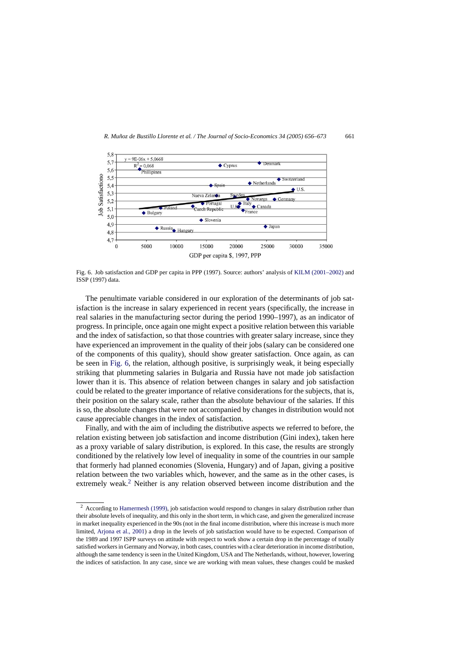

Fig. 6. Job satisfaction and GDP per capita in PPP (1997). Source: authors' analysis of [KILM \(2001–2002\)](#page-17-0) and ISSP (1997) data.

The penultimate variable considered in our exploration of the determinants of job satisfaction is the increase in salary experienced in recent years (specifically, the increase in real salaries in the manufacturing sector during the period 1990–1997), as an indicator of progress. In principle, once again one might expect a positive relation between this variable and the index of satisfaction, so that those countries with greater salary increase, since they have experienced an improvement in the quality of their jobs (salary can be considered one of the components of this quality), should show greater satisfaction. Once again, as can be seen in Fig. 6, the relation, although positive, is surprisingly weak, it being especially striking that plummeting salaries in Bulgaria and Russia have not made job satisfaction lower than it is. This absence of relation between changes in salary and job satisfaction could be related to the greater importance of relative considerations for the subjects, that is, their position on the salary scale, rather than the absolute behaviour of the salaries. If this is so, the absolute changes that were not accompanied by changes in distribution would not cause appreciable changes in the index of satisfaction.

Finally, and with the aim of including the distributive aspects we referred to before, the relation existing between job satisfaction and income distribution (Gini index), taken here as a proxy variable of salary distribution, is explored. In this case, the results are strongly conditioned by the relatively low level of inequality in some of the countries in our sample that formerly had planned economies (Slovenia, Hungary) and of Japan, giving a positive relation between the two variables which, however, and the same as in the other cases, is extremely weak.<sup>2</sup> Neither is any relation observed between income distribution and the

<sup>&</sup>lt;sup>2</sup> According to [Hamermesh \(1999\), j](#page-17-0)ob satisfaction would respond to changes in salary distribution rather than their absolute levels of inequality, and this only in the short term, in which case, and given the generalized increase in market inequality experienced in the 90s (not in the final income distribution, where this increase is much more limited, [Arjona et al., 2001\)](#page-17-0) a drop in the levels of job satisfaction would have to be expected. Comparison of the 1989 and 1997 ISPP surveys on attitude with respect to work show a certain drop in the percentage of totally satisfied workers in Germany and Norway, in both cases, countries with a clear deterioration in income distribution, although the same tendency is seen in the United Kingdom, USA and The Netherlands, without, however, lowering the indices of satisfaction. In any case, since we are working with mean values, these changes could be masked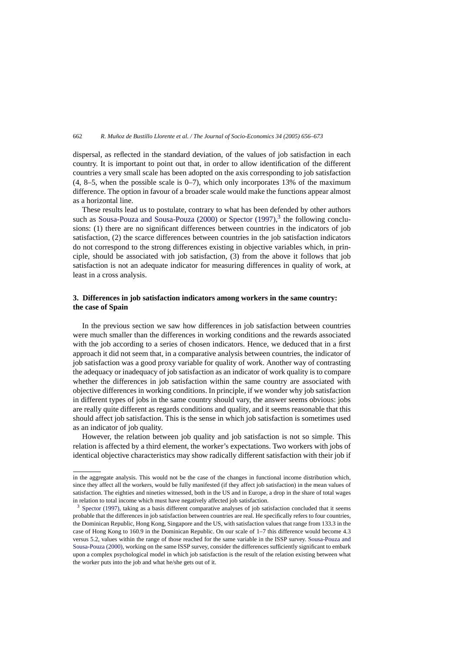dispersal, as reflected in the standard deviation, of the values of job satisfaction in each country. It is important to point out that, in order to allow identification of the different countries a very small scale has been adopted on the axis corresponding to job satisfaction (4, 8–5, when the possible scale is 0–7), which only incorporates 13% of the maximum difference. The option in favour of a broader scale would make the functions appear almost as a horizontal line.

These results lead us to postulate, contrary to what has been defended by other authors such as [Sousa-Pouza and Sousa-Pouza \(2000\)](#page-17-0) or [Spector \(1997\),](#page-17-0)<sup>3</sup> the following conclusions: (1) there are no significant differences between countries in the indicators of job satisfaction, (2) the scarce differences between countries in the job satisfaction indicators do not correspond to the strong differences existing in objective variables which, in principle, should be associated with job satisfaction, (3) from the above it follows that job satisfaction is not an adequate indicator for measuring differences in quality of work, at least in a cross analysis.

## **3. Differences in job satisfaction indicators among workers in the same country: the case of Spain**

In the previous section we saw how differences in job satisfaction between countries were much smaller than the differences in working conditions and the rewards associated with the job according to a series of chosen indicators. Hence, we deduced that in a first approach it did not seem that, in a comparative analysis between countries, the indicator of job satisfaction was a good proxy variable for quality of work. Another way of contrasting the adequacy or inadequacy of job satisfaction as an indicator of work quality is to compare whether the differences in job satisfaction within the same country are associated with objective differences in working conditions. In principle, if we wonder why job satisfaction in different types of jobs in the same country should vary, the answer seems obvious: jobs are really quite different as regards conditions and quality, and it seems reasonable that this should affect job satisfaction. This is the sense in which job satisfaction is sometimes used as an indicator of job quality.

However, the relation between job quality and job satisfaction is not so simple. This relation is affected by a third element, the worker's expectations. Two workers with jobs of identical objective characteristics may show radically different satisfaction with their job if

in the aggregate analysis. This would not be the case of the changes in functional income distribution which, since they affect all the workers, would be fully manifested (if they affect job satisfaction) in the mean values of satisfaction. The eighties and nineties witnessed, both in the US and in Europe, a drop in the share of total wages in relation to total income which must have negatively affected job satisfaction.

<sup>&</sup>lt;sup>3</sup> [Spector \(1997\), t](#page-17-0)aking as a basis different comparative analyses of job satisfaction concluded that it seems probable that the differences in job satisfaction between countries are real. He specifically refers to four countries, the Dominican Republic, Hong Kong, Singapore and the US, with satisfaction values that range from 133.3 in the case of Hong Kong to 160.9 in the Dominican Republic. On our scale of 1–7 this difference would become 4.3 versus 5.2, values within the range of those reached for the same variable in the ISSP survey. [Sousa-Pouza and](#page-17-0) [Sousa-Pouza \(2000\), w](#page-17-0)orking on the same ISSP survey, consider the differences sufficiently significant to embark upon a complex psychological model in which job satisfaction is the result of the relation existing between what the worker puts into the job and what he/she gets out of it.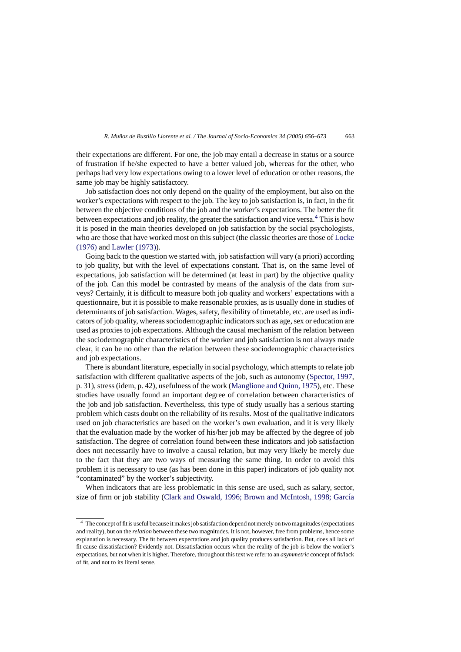their expectations are different. For one, the job may entail a decrease in status or a source of frustration if he/she expected to have a better valued job, whereas for the other, who perhaps had very low expectations owing to a lower level of education or other reasons, the same job may be highly satisfactory.

Job satisfaction does not only depend on the quality of the employment, but also on the worker's expectations with respect to the job. The key to job satisfaction is, in fact, in the fit between the objective conditions of the job and the worker's expectations. The better the fit between expectations and job reality, the greater the satisfaction and vice versa.<sup>4</sup> This is how it is posed in the main theories developed on job satisfaction by the social psychologists, who are those that have worked most on this subject (the classic theories are those of [Locke](#page-17-0) [\(1976\)](#page-17-0) and [Lawler \(1973\)\).](#page-17-0)

Going back to the question we started with, job satisfaction will vary (a priori) according to job quality, but with the level of expectations constant. That is, on the same level of expectations, job satisfaction will be determined (at least in part) by the objective quality of the job. Can this model be contrasted by means of the analysis of the data from surveys? Certainly, it is difficult to measure both job quality and workers' expectations with a questionnaire, but it is possible to make reasonable proxies, as is usually done in studies of determinants of job satisfaction. Wages, safety, flexibility of timetable, etc. are used as indicators of job quality, whereas sociodemographic indicators such as age, sex or education are used as proxies to job expectations. Although the causal mechanism of the relation between the sociodemographic characteristics of the worker and job satisfaction is not always made clear, it can be no other than the relation between these sociodemographic characteristics and job expectations.

There is abundant literature, especially in social psychology, which attempts to relate job satisfaction with different qualitative aspects of the job, such as autonomy ([Spector, 1997,](#page-17-0) p. 31), stress (idem, p. 42), usefulness of the work ([Manglione and Quinn, 1975\),](#page-17-0) etc. These studies have usually found an important degree of correlation between characteristics of the job and job satisfaction. Nevertheless, this type of study usually has a serious starting problem which casts doubt on the reliability of its results. Most of the qualitative indicators used on job characteristics are based on the worker's own evaluation, and it is very likely that the evaluation made by the worker of his/her job may be affected by the degree of job satisfaction. The degree of correlation found between these indicators and job satisfaction does not necessarily have to involve a causal relation, but may very likely be merely due to the fact that they are two ways of measuring the same thing. In order to avoid this problem it is necessary to use (as has been done in this paper) indicators of job quality not "contaminated" by the worker's subjectivity.

When indicators that are less problematic in this sense are used, such as salary, sector, size of firm or job stability (Clark and Oswald, 1996; Brown and McIntosh, 1998; García

<sup>&</sup>lt;sup>4</sup> The concept of fit is useful because it makes job satisfaction depend not merely on two magnitudes (expectations and reality), but on the *relation* between these two magnitudes. It is not, however, free from problems, hence some explanation is necessary. The fit between expectations and job quality produces satisfaction. But, does all lack of fit cause dissatisfaction? Evidently not. Dissatisfaction occurs when the reality of the job is below the worker's expectations, but not when it is higher. Therefore, throughout this text we refer to an *asymmetric* concept of fit/lack of fit, and not to its literal sense.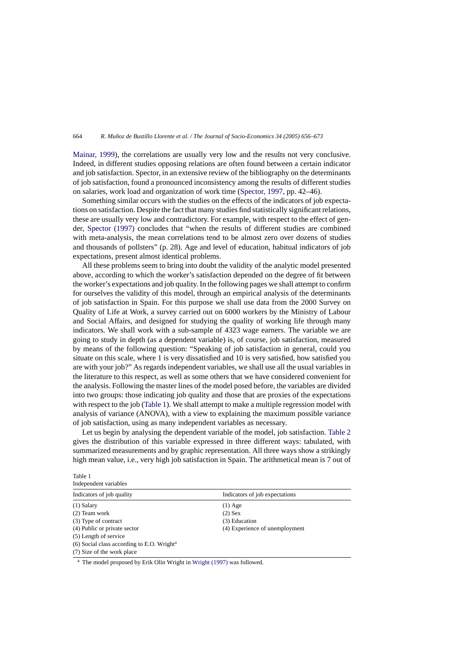<span id="page-8-0"></span>[Mainar, 1999\),](#page-17-0) the correlations are usually very low and the results not very conclusive. Indeed, in different studies opposing relations are often found between a certain indicator and job satisfaction. Spector, in an extensive review of the bibliography on the determinants of job satisfaction, found a pronounced inconsistency among the results of different studies on salaries, work load and organization of work time [\(Spector, 1997, p](#page-17-0)p. 42–46).

Something similar occurs with the studies on the effects of the indicators of job expectations on satisfaction. Despite the fact that many studies find statistically significant relations, these are usually very low and contradictory. For example, with respect to the effect of gender, [Spector \(1997\)](#page-17-0) concludes that "when the results of different studies are combined with meta-analysis, the mean correlations tend to be almost zero over dozens of studies and thousands of pollsters" (p. 28). Age and level of education, habitual indicators of job expectations, present almost identical problems.

All these problems seem to bring into doubt the validity of the analytic model presented above, according to which the worker's satisfaction depended on the degree of fit between the worker's expectations and job quality. In the following pages we shall attempt to confirm for ourselves the validity of this model, through an empirical analysis of the determinants of job satisfaction in Spain. For this purpose we shall use data from the 2000 Survey on Quality of Life at Work, a survey carried out on 6000 workers by the Ministry of Labour and Social Affairs, and designed for studying the quality of working life through many indicators. We shall work with a sub-sample of 4323 wage earners. The variable we are going to study in depth (as a dependent variable) is, of course, job satisfaction, measured by means of the following question: "Speaking of job satisfaction in general, could you situate on this scale, where 1 is very dissatisfied and 10 is very satisfied, how satisfied you are with your job?" As regards independent variables, we shall use all the usual variables in the literature to this respect, as well as some others that we have considered convenient for the analysis. Following the master lines of the model posed before, the variables are divided into two groups: those indicating job quality and those that are proxies of the expectations with respect to the job (Table 1). We shall attempt to make a multiple regression model with analysis of variance (ANOVA), with a view to explaining the maximum possible variance of job satisfaction, using as many independent variables as necessary.

Let us begin by analysing the dependent variable of the model, job satisfaction. [Table 2](#page-9-0) gives the distribution of this variable expressed in three different ways: tabulated, with summarized measurements and by graphic representation. All three ways show a strikingly high mean value, i.e., very high job satisfaction in Spain. The arithmetical mean is 7 out of

| Table 1                                                  |                                |  |  |  |
|----------------------------------------------------------|--------------------------------|--|--|--|
| Independent variables                                    |                                |  |  |  |
| Indicators of job quality                                | Indicators of job expectations |  |  |  |
| $(1)$ Salary                                             | $(1)$ Age                      |  |  |  |
| $(2)$ Team work                                          | $(2)$ Sex                      |  |  |  |
| (3) Type of contract                                     | (3) Education                  |  |  |  |
| (4) Public or private sector                             | (4) Experience of unemployment |  |  |  |
| (5) Length of service                                    |                                |  |  |  |
| $(6)$ Social class according to E.O. Wright <sup>a</sup> |                                |  |  |  |
| (7) Size of the work place                               |                                |  |  |  |

<sup>a</sup> The model proposed by Erik Olin Wright in [Wright \(1997\)](#page-17-0) was followed.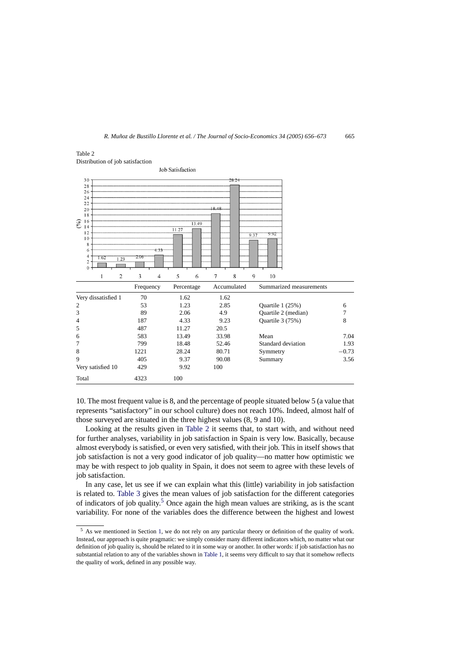<span id="page-9-0"></span>

| 30                         |                     |                |           |                |            |       |                | 28.24 |      |                         |         |
|----------------------------|---------------------|----------------|-----------|----------------|------------|-------|----------------|-------|------|-------------------------|---------|
| 28                         |                     |                |           |                |            |       |                |       |      |                         |         |
| 26<br>24                   |                     |                |           |                |            |       |                |       |      |                         |         |
| 22                         |                     |                |           |                |            |       |                |       |      |                         |         |
| 20                         |                     |                |           |                |            |       | 18.48          |       |      |                         |         |
| 18                         |                     |                |           |                |            |       |                |       |      |                         |         |
| $\binom{6}{0}$<br>16<br>14 |                     |                |           |                |            | 13.49 |                |       |      |                         |         |
| 12                         |                     |                |           |                | 11.27      |       |                |       | 9.37 | 9.92                    |         |
| 10                         |                     |                |           |                |            |       |                |       |      |                         |         |
| 8<br>6                     |                     |                |           | 4.33           |            |       |                |       |      |                         |         |
| $\overline{4}$             | 1.62                |                | 2.06      |                |            |       |                |       |      |                         |         |
| $\overline{\mathbf{c}}$    |                     | 1.23           |           |                |            |       |                |       |      |                         |         |
| $\overline{0}$             |                     |                |           |                |            |       |                |       |      |                         |         |
|                            | 1                   | $\overline{c}$ | 3         | $\overline{4}$ | 5          | 6     | $\overline{7}$ | 8     | 9    | 10                      |         |
|                            |                     |                | Frequency |                | Percentage |       | Accumulated    |       |      | Summarized measurements |         |
|                            | Very dissatisfied 1 |                | 70        |                | 1.62       |       | 1.62           |       |      |                         |         |
| $\mathfrak{2}$             |                     |                | 53        |                | 1.23       |       | 2.85           |       |      | Quartile 1 (25%)        | 6       |
| 3                          |                     |                | 89        |                | 2.06       |       | 4.9            |       |      | Quartile 2 (median)     | 7       |
| 4                          |                     |                | 187       |                | 4.33       |       | 9.23           |       |      | Quartile 3 (75%)        | 8       |
| 5                          |                     |                | 487       |                | 11.27      |       | 20.5           |       |      |                         |         |
| 6                          |                     |                | 583       |                | 13.49      |       | 33.98          |       |      | Mean                    | 7.04    |
| 7                          |                     |                | 799       |                | 18.48      |       | 52.46          |       |      | Standard deviation      | 1.93    |
| 8                          |                     |                | 1221      |                | 28.24      |       | 80.71          |       |      | Symmetry                | $-0.73$ |
| 9                          |                     |                | 405       |                | 9.37       |       | 90.08          |       |      | Summary                 | 3.56    |
|                            | Very satisfied 10   |                | 429       |                | 9.92       |       | 100            |       |      |                         |         |
| Total                      |                     |                | 4323      |                | 100        |       |                |       |      |                         |         |

10. The most frequent value is 8, and the percentage of people situated below 5 (a value that represents "satisfactory" in our school culture) does not reach 10%. Indeed, almost half of those surveyed are situated in the three highest values (8, 9 and 10).

Looking at the results given in Table 2 it seems that, to start with, and without need for further analyses, variability in job satisfaction in Spain is very low. Basically, because almost everybody is satisfied, or even very satisfied, with their job. This in itself shows that job satisfaction is not a very good indicator of job quality—no matter how optimistic we may be with respect to job quality in Spain, it does not seem to agree with these levels of job satisfaction.

In any case, let us see if we can explain what this (little) variability in job satisfaction is related to. [Table 3](#page-10-0) gives the mean values of job satisfaction for the different categories of indicators of job quality.<sup>5</sup> Once again the high mean values are striking, as is the scant variability. For none of the variables does the difference between the highest and lowest

<sup>&</sup>lt;sup>5</sup> As we mentioned in Section [1, w](#page-0-0)e do not rely on any particular theory or definition of the quality of work. Instead, our approach is quite pragmatic: we simply consider many different indicators which, no matter what our definition of job quality is, should be related to it in some way or another. In other words: if job satisfaction has no substantial relation to any of the variables shown in [Table 1, i](#page-8-0)t seems very difficult to say that it somehow reflects the quality of work, defined in any possible way.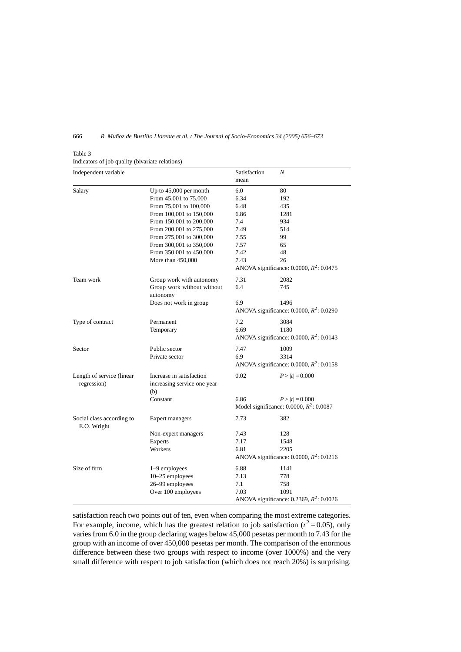<span id="page-10-0"></span>Table 3

| Independent variable                     |                                                                | Satisfaction<br>mean                       | Ν                                          |  |
|------------------------------------------|----------------------------------------------------------------|--------------------------------------------|--------------------------------------------|--|
| Salary                                   | Up to 45,000 per month                                         | 6.0                                        | 80                                         |  |
|                                          | From 45,001 to 75,000                                          | 6.34                                       | 192                                        |  |
|                                          | From 75,001 to 100,000                                         | 6.48                                       | 435                                        |  |
|                                          | From 100,001 to 150,000                                        | 6.86                                       | 1281                                       |  |
|                                          | From 150,001 to 200,000                                        | 7.4                                        | 934                                        |  |
|                                          | From 200,001 to 275,000                                        | 7.49                                       | 514                                        |  |
|                                          | From 275,001 to 300,000                                        | 7.55                                       | 99                                         |  |
|                                          | From 300,001 to 350,000                                        | 7.57                                       | 65                                         |  |
|                                          | From 350,001 to 450,000                                        | 7.42                                       | 48                                         |  |
|                                          | More than 450,000                                              | 7.43                                       | 26                                         |  |
|                                          |                                                                |                                            | ANOVA significance: 0.0000, $R^2$ : 0.0475 |  |
| Team work                                | Group work with autonomy                                       | 7.31                                       | 2082                                       |  |
|                                          | Group work without without<br>autonomy                         | 6.4                                        | 745                                        |  |
|                                          | Does not work in group                                         | 6.9                                        | 1496                                       |  |
|                                          |                                                                | ANOVA significance: 0.0000, $R^2$ : 0.0290 |                                            |  |
| Type of contract                         | Permanent                                                      | 7.2                                        | 3084                                       |  |
|                                          | Temporary                                                      | 6.69                                       | 1180                                       |  |
|                                          |                                                                | ANOVA significance: 0.0000, $R^2$ : 0.0143 |                                            |  |
| Sector                                   | Public sector                                                  | 7.47                                       | 1009                                       |  |
|                                          | Private sector                                                 | 6.9                                        | 3314                                       |  |
|                                          |                                                                | ANOVA significance: 0.0000, $R^2$ : 0.0158 |                                            |  |
| Length of service (linear<br>regression) | Increase in satisfaction<br>increasing service one year<br>(b) | 0.02                                       | $P >  t  = 0.000$                          |  |
|                                          | Constant                                                       | 6.86                                       | $P >  t  = 0.000$                          |  |
|                                          |                                                                |                                            | Model significance: 0.0000, $R^2$ : 0.0087 |  |
| Social class according to                | Expert managers                                                | 7.73                                       | 382                                        |  |
| E.O. Wright                              | Non-expert managers                                            | 7.43                                       | 128                                        |  |
|                                          | Experts                                                        | 7.17                                       | 1548                                       |  |
|                                          | Workers                                                        | 6.81                                       | 2205                                       |  |
|                                          |                                                                | ANOVA significance: 0.0000, $R^2$ : 0.0216 |                                            |  |
| Size of firm                             | 1–9 employees                                                  | 6.88                                       | 1141                                       |  |
|                                          | 10-25 employees                                                | 7.13                                       | 778                                        |  |
|                                          | 26-99 employees                                                | 7.1                                        | 758                                        |  |
|                                          | Over 100 employees                                             | 7.03                                       | 1091                                       |  |
|                                          |                                                                |                                            | ANOVA significance: 0.2369, $R^2$ : 0.0026 |  |

satisfaction reach two points out of ten, even when comparing the most extreme categories. For example, income, which has the greatest relation to job satisfaction  $(r^2 = 0.05)$ , only varies from 6.0 in the group declaring wages below 45,000 pesetas per month to 7.43 for the group with an income of over 450,000 pesetas per month. The comparison of the enormous difference between these two groups with respect to income (over 1000%) and the very small difference with respect to job satisfaction (which does not reach 20%) is surprising.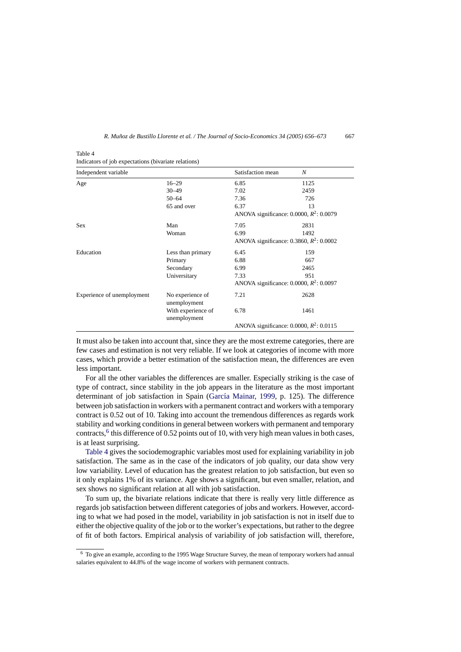| Independent variable       |                                    | Satisfaction mean                          | N                                          |  |  |
|----------------------------|------------------------------------|--------------------------------------------|--------------------------------------------|--|--|
| Age                        | $16 - 29$                          | 6.85                                       | 1125                                       |  |  |
|                            | $30 - 49$                          | 7.02                                       | 2459                                       |  |  |
|                            | $50 - 64$                          | 7.36                                       | 726                                        |  |  |
|                            | 65 and over                        | 6.37                                       | 13                                         |  |  |
|                            |                                    | ANOVA significance: 0.0000, $R^2$ : 0.0079 |                                            |  |  |
| <b>Sex</b>                 | Man                                | 7.05                                       | 2831                                       |  |  |
|                            | Woman                              | 6.99                                       | 1492                                       |  |  |
|                            |                                    |                                            | ANOVA significance: 0.3860, $R^2$ : 0.0002 |  |  |
| Education                  | Less than primary                  | 6.45                                       | 159                                        |  |  |
|                            | Primary                            | 6.88                                       | 667                                        |  |  |
|                            | Secondary                          | 6.99                                       | 2465                                       |  |  |
|                            | Universitary                       | 7.33                                       | 951                                        |  |  |
|                            |                                    | ANOVA significance: 0.0000, $R^2$ : 0.0097 |                                            |  |  |
| Experience of unemployment | No experience of<br>unemployment   | 7.21                                       | 2628                                       |  |  |
|                            | With experience of<br>unemployment | 6.78                                       | 1461                                       |  |  |
|                            |                                    |                                            | ANOVA significance: 0.0000, $R^2$ : 0.0115 |  |  |

<span id="page-11-0"></span>Table 4 Indicators of job expectations (bivariate relations)

It must also be taken into account that, since they are the most extreme categories, there are few cases and estimation is not very reliable. If we look at categories of income with more cases, which provide a better estimation of the satisfaction mean, the differences are even less important.

For all the other variables the differences are smaller. Especially striking is the case of type of contract, since stability in the job appears in the literature as the most important determinant of job satisfaction in Spain (García Mainar, 1999, p. 125). The difference between job satisfaction in workers with a permanent contract and workers with a temporary contract is 0.52 out of 10. Taking into account the tremendous differences as regards work stability and working conditions in general between workers with permanent and temporary contracts, $^6$  this difference of 0.52 points out of 10, with very high mean values in both cases, is at least surprising.

Table 4 gives the sociodemographic variables most used for explaining variability in job satisfaction. The same as in the case of the indicators of job quality, our data show very low variability. Level of education has the greatest relation to job satisfaction, but even so it only explains 1% of its variance. Age shows a significant, but even smaller, relation, and sex shows no significant relation at all with job satisfaction.

To sum up, the bivariate relations indicate that there is really very little difference as regards job satisfaction between different categories of jobs and workers. However, according to what we had posed in the model, variability in job satisfaction is not in itself due to either the objective quality of the job or to the worker's expectations, but rather to the degree of fit of both factors. Empirical analysis of variability of job satisfaction will, therefore,

<sup>6</sup> To give an example, according to the 1995 Wage Structure Survey, the mean of temporary workers had annual salaries equivalent to 44.8% of the wage income of workers with permanent contracts.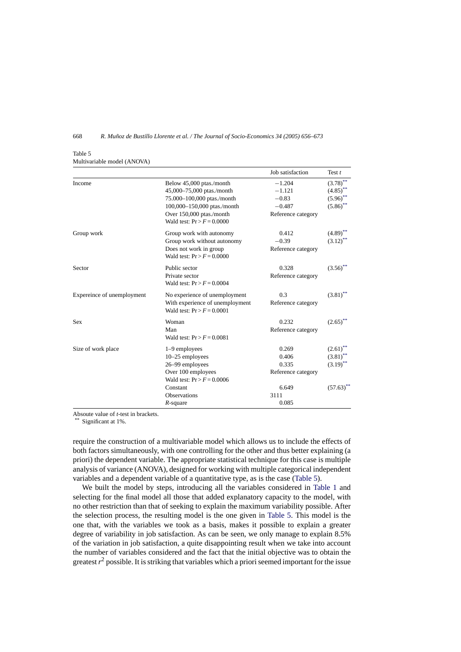| Table 5                     |  |
|-----------------------------|--|
| Multivariable model (ANOVA) |  |

|                            |                                 | Job satisfaction   | Test $t$                         |
|----------------------------|---------------------------------|--------------------|----------------------------------|
| Income                     | Below 45,000 ptas./month        | $-1.204$           | $\left( 3.78\right) ^{\ast\ast}$ |
|                            | 45,000-75,000 ptas./month       | $-1.121$           | $(4.85)$ <sup>**</sup>           |
|                            | 75.000-100,000 ptas./month      | $-0.83$            | $(5.96)$ **                      |
|                            | 100,000-150,000 ptas./month     | $-0.487$           | $(5.86)$ **                      |
|                            | Over 150,000 ptas./month        | Reference category |                                  |
|                            | Wald test: $Pr > F = 0.0000$    |                    |                                  |
| Group work                 | Group work with autonomy        | 0.412              | $(4.89)$ <sup>**</sup>           |
|                            | Group work without autonomy     | $-0.39$            | $(3.12)$ **                      |
|                            | Does not work in group          | Reference category |                                  |
|                            | Wald test: $Pr > F = 0.0000$    |                    |                                  |
| Sector                     | Public sector                   | 0.328              | $(3.56)$ **                      |
|                            | Private sector                  | Reference category |                                  |
|                            | Wald test: $Pr > F = 0.0004$    |                    |                                  |
| Expereince of unemployment | No experience of unemployment   | 0.3                | $(3.81)$ **                      |
|                            | With experience of unemployment | Reference category |                                  |
|                            | Wald test: $Pr > F = 0.0001$    |                    |                                  |
| <b>Sex</b>                 | Woman                           | 0.232              | $\left( 2.65\right) ^{\ast\ast}$ |
|                            | Man                             | Reference category |                                  |
|                            | Wald test: $Pr > F = 0.0081$    |                    |                                  |
| Size of work place         | 1–9 employees                   | 0.269              | $\left( 2.61\right) ^{\ast\ast}$ |
|                            | 10-25 employees                 | 0.406              | $(3.81)$ **                      |
|                            | 26-99 employees                 | 0.335              | $(3.19)$ **                      |
|                            | Over 100 employees              | Reference category |                                  |
|                            | Wald test: $Pr > F = 0.0006$    |                    |                                  |
|                            | Constant                        | 6.649              | $(57.63)$ **                     |
|                            | <b>Observations</b>             | 3111               |                                  |
|                            | $R$ -square                     | 0.085              |                                  |

Absoute value of *t*-test in brackets.

Significant at 1%.

require the construction of a multivariable model which allows us to include the effects of both factors simultaneously, with one controlling for the other and thus better explaining (a priori) the dependent variable. The appropriate statistical technique for this case is multiple analysis of variance (ANOVA), designed for working with multiple categorical independent variables and a dependent variable of a quantitative type, as is the case (Table 5).

We built the model by steps, introducing all the variables considered in [Table 1](#page-8-0) and selecting for the final model all those that added explanatory capacity to the model, with no other restriction than that of seeking to explain the maximum variability possible. After the selection process, the resulting model is the one given in Table 5. This model is the one that, with the variables we took as a basis, makes it possible to explain a greater degree of variability in job satisfaction. As can be seen, we only manage to explain 8.5% of the variation in job satisfaction, a quite disappointing result when we take into account the number of variables considered and the fact that the initial objective was to obtain the greatest  $r<sup>2</sup>$  possible. It is striking that variables which a priori seemed important for the issue

<span id="page-12-0"></span>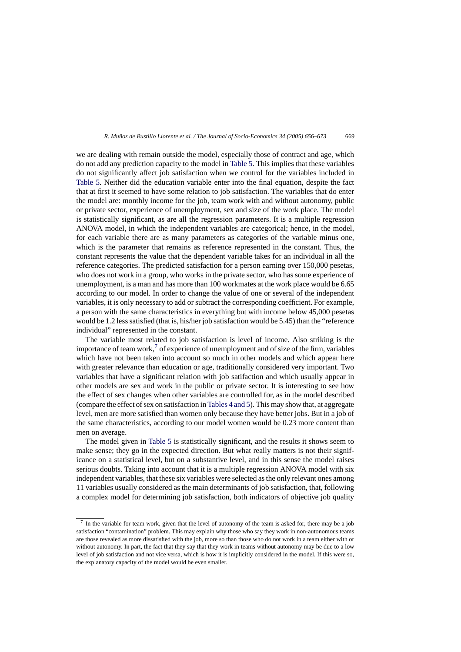we are dealing with remain outside the model, especially those of contract and age, which do not add any prediction capacity to the model in [Table 5. T](#page-12-0)his implies that these variables do not significantly affect job satisfaction when we control for the variables included in [Table 5.](#page-12-0) Neither did the education variable enter into the final equation, despite the fact that at first it seemed to have some relation to job satisfaction. The variables that do enter the model are: monthly income for the job, team work with and without autonomy, public or private sector, experience of unemployment, sex and size of the work place. The model is statistically significant, as are all the regression parameters. It is a multiple regression ANOVA model, in which the independent variables are categorical; hence, in the model, for each variable there are as many parameters as categories of the variable minus one, which is the parameter that remains as reference represented in the constant. Thus, the constant represents the value that the dependent variable takes for an individual in all the reference categories. The predicted satisfaction for a person earning over 150,000 pesetas, who does not work in a group, who works in the private sector, who has some experience of unemployment, is a man and has more than 100 workmates at the work place would be 6.65 according to our model. In order to change the value of one or several of the independent variables, it is only necessary to add or subtract the corresponding coefficient. For example, a person with the same characteristics in everything but with income below 45,000 pesetas would be 1.2 less satisfied (that is, his/her job satisfaction would be 5.45) than the "reference individual" represented in the constant.

The variable most related to job satisfaction is level of income. Also striking is the importance of team work, $\bar{\ }$  of experience of unemployment and of size of the firm, variables which have not been taken into account so much in other models and which appear here with greater relevance than education or age, traditionally considered very important. Two variables that have a significant relation with job satifaction and which usually appear in other models are sex and work in the public or private sector. It is interesting to see how the effect of sex changes when other variables are controlled for, as in the model described (compare the effect of sex on satisfaction in [Tables 4 and 5\).](#page-11-0) This may show that, at aggregate level, men are more satisfied than women only because they have better jobs. But in a job of the same characteristics, according to our model women would be 0.23 more content than men on average.

The model given in [Table 5](#page-12-0) is statistically significant, and the results it shows seem to make sense; they go in the expected direction. But what really matters is not their significance on a statistical level, but on a substantive level, and in this sense the model raises serious doubts. Taking into account that it is a multiple regression ANOVA model with six independent variables, that these six variables were selected as the only relevant ones among 11 variables usually considered as the main determinants of job satisfaction, that, following a complex model for determining job satisfaction, both indicators of objective job quality

<sup>7</sup> In the variable for team work, given that the level of autonomy of the team is asked for, there may be a job satisfaction "contamination" problem. This may explain why those who say they work in non-autonomous teams are those revealed as more dissatisfied with the job, more so than those who do not work in a team either with or without autonomy. In part, the fact that they say that they work in teams without autonomy may be due to a low level of job satisfaction and not vice versa, which is how it is implicitly considered in the model. If this were so, the explanatory capacity of the model would be even smaller.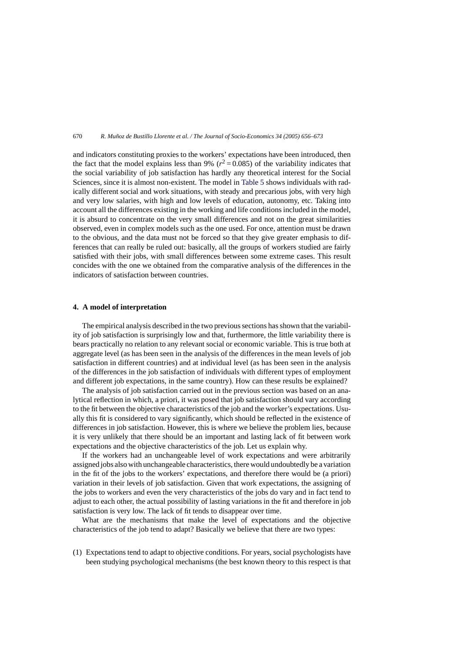and indicators constituting proxies to the workers' expectations have been introduced, then the fact that the model explains less than 9%  $(r^2 = 0.085)$  of the variability indicates that the social variability of job satisfaction has hardly any theoretical interest for the Social Sciences, since it is almost non-existent. The model in [Table 5](#page-12-0) shows individuals with radically different social and work situations, with steady and precarious jobs, with very high and very low salaries, with high and low levels of education, autonomy, etc. Taking into account all the differences existing in the working and life conditions included in the model, it is absurd to concentrate on the very small differences and not on the great similarities observed, even in complex models such as the one used. For once, attention must be drawn to the obvious, and the data must not be forced so that they give greater emphasis to differences that can really be ruled out: basically, all the groups of workers studied are fairly satisfied with their jobs, with small differences between some extreme cases. This result concides with the one we obtained from the comparative analysis of the differences in the indicators of satisfaction between countries.

#### **4.** A model of interpretation

The empirical analysis described in the two previous sections has shown that the variability of job satisfaction is surprisingly low and that, furthermore, the little variability there is bears practically no relation to any relevant social or economic variable. This is true both at aggregate level (as has been seen in the analysis of the differences in the mean levels of job satisfaction in different countries) and at individual level (as has been seen in the analysis of the differences in the job satisfaction of individuals with different types of employment and different job expectations, in the same country). How can these results be explained?

The analysis of job satisfaction carried out in the previous section was based on an analytical reflection in which, a priori, it was posed that job satisfaction should vary according to the fit between the objective characteristics of the job and the worker's expectations. Usually this fit is considered to vary significantly, which should be reflected in the existence of differences in job satisfaction. However, this is where we believe the problem lies, because it is very unlikely that there should be an important and lasting lack of fit between work expectations and the objective characteristics of the job. Let us explain why.

If the workers had an unchangeable level of work expectations and were arbitrarily assigned jobs also with unchangeable characteristics, there would undoubtedly be a variation in the fit of the jobs to the workers' expectations, and therefore there would be (a priori) variation in their levels of job satisfaction. Given that work expectations, the assigning of the jobs to workers and even the very characteristics of the jobs do vary and in fact tend to adjust to each other, the actual possibility of lasting variations in the fit and therefore in job satisfaction is very low. The lack of fit tends to disappear over time.

What are the mechanisms that make the level of expectations and the objective characteristics of the job tend to adapt? Basically we believe that there are two types:

(1) Expectations tend to adapt to objective conditions. For years, social psychologists have been studying psychological mechanisms (the best known theory to this respect is that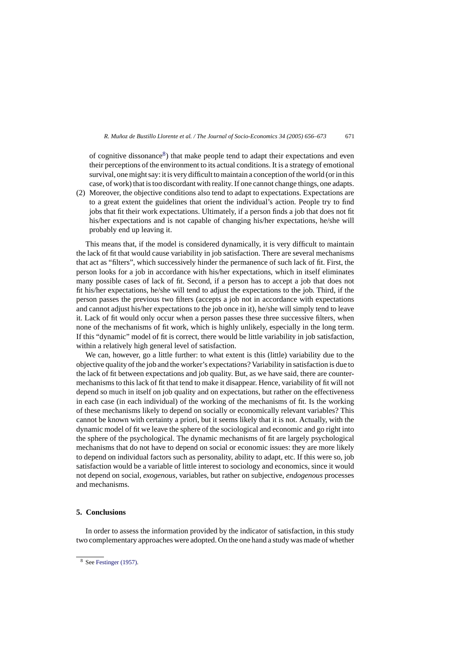of cognitive dissonance<sup>8</sup>) that make people tend to adapt their expectations and even their perceptions of the environment to its actual conditions. It is a strategy of emotional survival, one might say: it is very difficult to maintain a conception of the world (or in this case, of work) that is too discordant with reality. If one cannot change things, one adapts.

(2) Moreover, the objective conditions also tend to adapt to expectations. Expectations are to a great extent the guidelines that orient the individual's action. People try to find jobs that fit their work expectations. Ultimately, if a person finds a job that does not fit his/her expectations and is not capable of changing his/her expectations, he/she will probably end up leaving it.

This means that, if the model is considered dynamically, it is very difficult to maintain the lack of fit that would cause variability in job satisfaction. There are several mechanisms that act as "filters", which successively hinder the permanence of such lack of fit. First, the person looks for a job in accordance with his/her expectations, which in itself eliminates many possible cases of lack of fit. Second, if a person has to accept a job that does not fit his/her expectations, he/she will tend to adjust the expectations to the job. Third, if the person passes the previous two filters (accepts a job not in accordance with expectations and cannot adjust his/her expectations to the job once in it), he/she will simply tend to leave it. Lack of fit would only occur when a person passes these three successive filters, when none of the mechanisms of fit work, which is highly unlikely, especially in the long term. If this "dynamic" model of fit is correct, there would be little variability in job satisfaction, within a relatively high general level of satisfaction.

We can, however, go a little further: to what extent is this (little) variability due to the objective quality of the job and the worker's expectations? Variability in satisfaction is due to the lack of fit between expectations and job quality. But, as we have said, there are countermechanisms to this lack of fit that tend to make it disappear. Hence, variability of fit will not depend so much in itself on job quality and on expectations, but rather on the effectiveness in each case (in each individual) of the working of the mechanisms of fit. Is the working of these mechanisms likely to depend on socially or economically relevant variables? This cannot be known with certainty a priori, but it seems likely that it is not. Actually, with the dynamic model of fit we leave the sphere of the sociological and economic and go right into the sphere of the psychological. The dynamic mechanisms of fit are largely psychological mechanisms that do not have to depend on social or economic issues: they are more likely to depend on individual factors such as personality, ability to adapt, etc. If this were so, job satisfaction would be a variable of little interest to sociology and economics, since it would not depend on social, *exogenous*, variables, but rather on subjective, *endogenous* processes and mechanisms.

## **5. Conclusions**

In order to assess the information provided by the indicator of satisfaction, in this study two complementary approaches were adopted. On the one hand a study was made of whether

<sup>8</sup> See [Festinger \(1957\).](#page-17-0)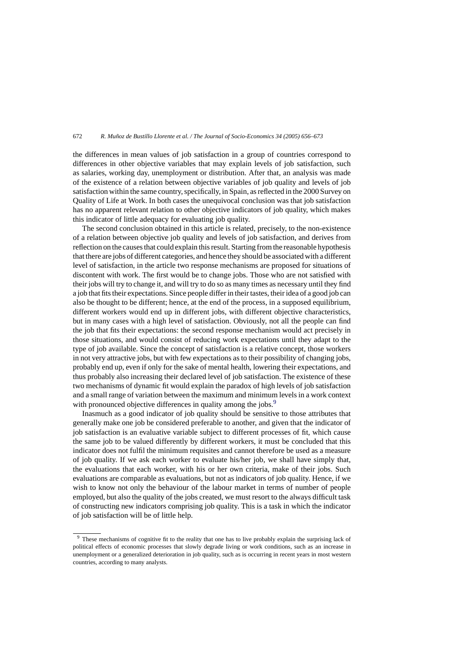the differences in mean values of job satisfaction in a group of countries correspond to differences in other objective variables that may explain levels of job satisfaction, such as salaries, working day, unemployment or distribution. After that, an analysis was made of the existence of a relation between objective variables of job quality and levels of job satisfaction within the same country, specifically, in Spain, as reflected in the 2000 Survey on Quality of Life at Work. In both cases the unequivocal conclusion was that job satisfaction has no apparent relevant relation to other objective indicators of job quality, which makes this indicator of little adequacy for evaluating job quality.

The second conclusion obtained in this article is related, precisely, to the non-existence of a relation between objective job quality and levels of job satisfaction, and derives from reflection on the causes that could explain this result. Starting from the reasonable hypothesis that there are jobs of different categories, and hence they should be associated with a different level of satisfaction, in the article two response mechanisms are proposed for situations of discontent with work. The first would be to change jobs. Those who are not satisfied with their jobs will try to change it, and will try to do so as many times as necessary until they find a job that fits their expectations. Since people differ in their tastes, their idea of a good job can also be thought to be different; hence, at the end of the process, in a supposed equilibrium, different workers would end up in different jobs, with different objective characteristics, but in many cases with a high level of satisfaction. Obviously, not all the people can find the job that fits their expectations: the second response mechanism would act precisely in those situations, and would consist of reducing work expectations until they adapt to the type of job available. Since the concept of satisfaction is a relative concept, those workers in not very attractive jobs, but with few expectations as to their possibility of changing jobs, probably end up, even if only for the sake of mental health, lowering their expectations, and thus probably also increasing their declared level of job satisfaction. The existence of these two mechanisms of dynamic fit would explain the paradox of high levels of job satisfaction and a small range of variation between the maximum and minimum levels in a work context with pronounced objective differences in quality among the jobs.<sup>9</sup>

Inasmuch as a good indicator of job quality should be sensitive to those attributes that generally make one job be considered preferable to another, and given that the indicator of job satisfaction is an evaluative variable subject to different processes of fit, which cause the same job to be valued differently by different workers, it must be concluded that this indicator does not fulfil the minimum requisites and cannot therefore be used as a measure of job quality. If we ask each worker to evaluate his/her job, we shall have simply that, the evaluations that each worker, with his or her own criteria, make of their jobs. Such evaluations are comparable as evaluations, but not as indicators of job quality. Hence, if we wish to know not only the behaviour of the labour market in terms of number of people employed, but also the quality of the jobs created, we must resort to the always difficult task of constructing new indicators comprising job quality. This is a task in which the indicator of job satisfaction will be of little help.

<sup>9</sup> These mechanisms of cognitive fit to the reality that one has to live probably explain the surprising lack of political effects of economic processes that slowly degrade living or work conditions, such as an increase in unemployment or a generalized deterioration in job quality, such as is occurring in recent years in most western countries, according to many analysts.